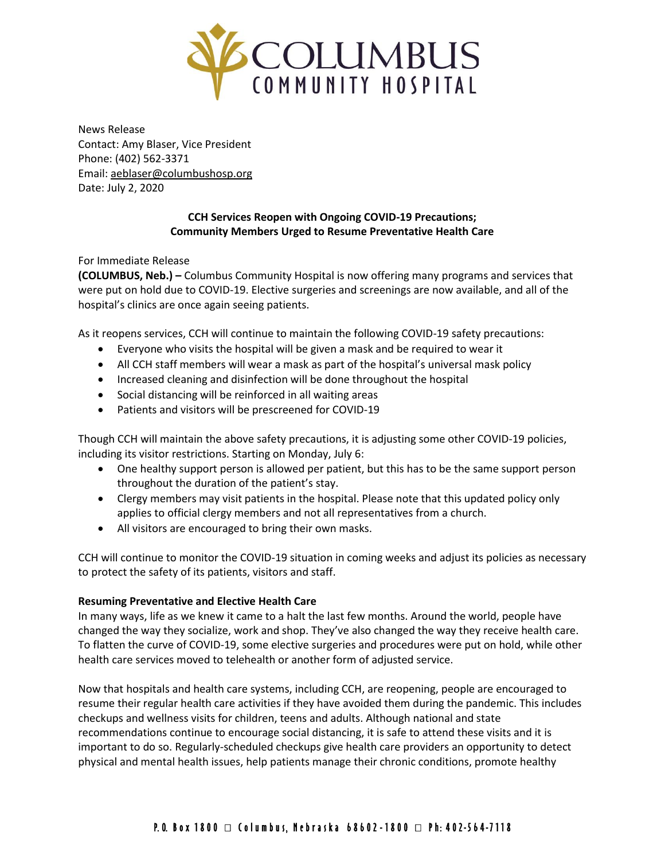

News Release Contact: Amy Blaser, Vice President Phone: (402) 562-3371 Email: [aeblaser@columbushosp.org](mailto:aeblaser@columbushosp.org) Date: July 2, 2020

# **CCH Services Reopen with Ongoing COVID-19 Precautions; Community Members Urged to Resume Preventative Health Care**

For Immediate Release

**(COLUMBUS, Neb.) –** Columbus Community Hospital is now offering many programs and services that were put on hold due to COVID-19. Elective surgeries and screenings are now available, and all of the hospital's clinics are once again seeing patients.

As it reopens services, CCH will continue to maintain the following COVID-19 safety precautions:

- Everyone who visits the hospital will be given a mask and be required to wear it
- All CCH staff members will wear a mask as part of the hospital's universal mask policy
- Increased cleaning and disinfection will be done throughout the hospital
- Social distancing will be reinforced in all waiting areas
- Patients and visitors will be prescreened for COVID-19

Though CCH will maintain the above safety precautions, it is adjusting some other COVID-19 policies, including its visitor restrictions. Starting on Monday, July 6:

- One healthy support person is allowed per patient, but this has to be the same support person throughout the duration of the patient's stay.
- Clergy members may visit patients in the hospital. Please note that this updated policy only applies to official clergy members and not all representatives from a church.
- All visitors are encouraged to bring their own masks.

CCH will continue to monitor the COVID-19 situation in coming weeks and adjust its policies as necessary to protect the safety of its patients, visitors and staff.

## **Resuming Preventative and Elective Health Care**

In many ways, life as we knew it came to a halt the last few months. Around the world, people have changed the way they socialize, work and shop. They've also changed the way they receive health care. To flatten the curve of COVID-19, some elective surgeries and procedures were put on hold, while other health care services moved to telehealth or another form of adjusted service.

Now that hospitals and health care systems, including CCH, are reopening, people are encouraged to resume their regular health care activities if they have avoided them during the pandemic. This includes checkups and wellness visits for children, teens and adults. Although national and state recommendations continue to encourage social distancing, it is safe to attend these visits and it is important to do so. Regularly-scheduled checkups give health care providers an opportunity to detect physical and mental health issues, help patients manage their chronic conditions, promote healthy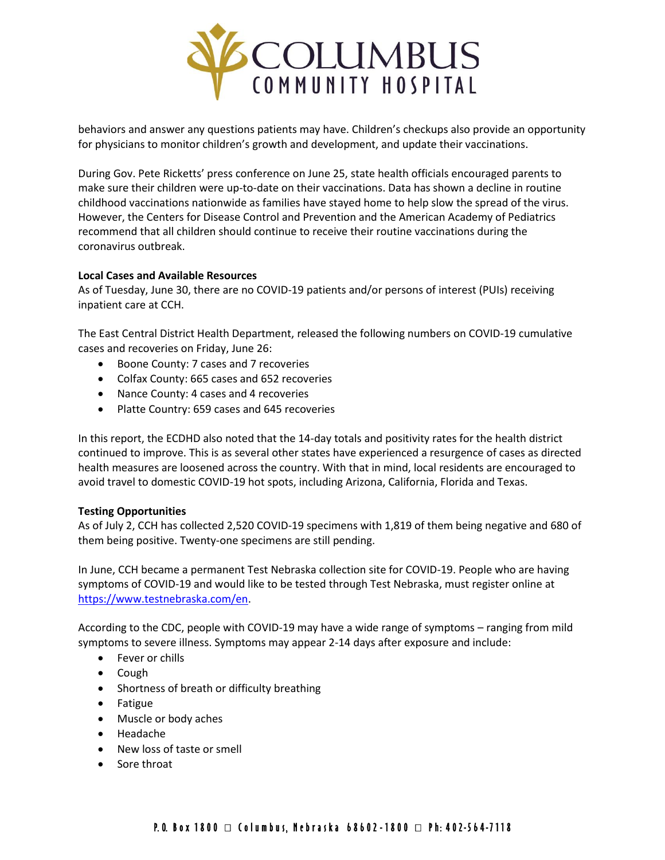

behaviors and answer any questions patients may have. Children's checkups also provide an opportunity for physicians to monitor children's growth and development, and update their vaccinations.

During Gov. Pete Ricketts' press conference on June 25, state health officials encouraged parents to make sure their children were up-to-date on their vaccinations. Data has shown a decline in routine childhood vaccinations nationwide as families have stayed home to help slow the spread of the virus. However, the Centers for Disease Control and Prevention and the American Academy of Pediatrics recommend that all children should continue to receive their routine vaccinations during the coronavirus outbreak.

## **Local Cases and Available Resources**

As of Tuesday, June 30, there are no COVID-19 patients and/or persons of interest (PUIs) receiving inpatient care at CCH.

The East Central District Health Department, released the following numbers on COVID-19 cumulative cases and recoveries on Friday, June 26:

- Boone County: 7 cases and 7 recoveries
- Colfax County: 665 cases and 652 recoveries
- Nance County: 4 cases and 4 recoveries
- Platte Country: 659 cases and 645 recoveries

In this report, the ECDHD also noted that the 14-day totals and positivity rates for the health district continued to improve. This is as several other states have experienced a resurgence of cases as directed health measures are loosened across the country. With that in mind, local residents are encouraged to avoid travel to domestic COVID-19 hot spots, including Arizona, California, Florida and Texas.

## **Testing Opportunities**

As of July 2, CCH has collected 2,520 COVID-19 specimens with 1,819 of them being negative and 680 of them being positive. Twenty-one specimens are still pending.

In June, CCH became a permanent Test Nebraska collection site for COVID-19. People who are having symptoms of COVID-19 and would like to be tested through Test Nebraska, must register online at [https://www.testnebraska.com/en.](https://www.testnebraska.com/en)

According to the CDC, people with COVID-19 may have a wide range of symptoms – ranging from mild symptoms to severe illness. Symptoms may appear 2-14 days after exposure and include:

- Fever or chills
- Cough
- Shortness of breath or difficulty breathing
- Fatigue
- Muscle or body aches
- Headache
- New loss of taste or smell
- Sore throat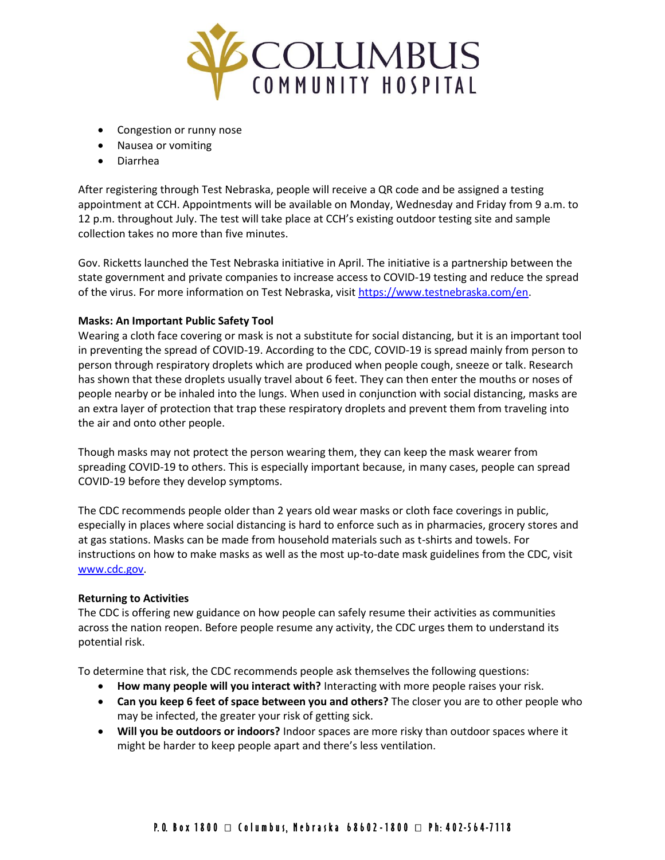

- Congestion or runny nose
- Nausea or vomiting
- Diarrhea

After registering through Test Nebraska, people will receive a QR code and be assigned a testing appointment at CCH. Appointments will be available on Monday, Wednesday and Friday from 9 a.m. to 12 p.m. throughout July. The test will take place at CCH's existing outdoor testing site and sample collection takes no more than five minutes.

Gov. Ricketts launched the Test Nebraska initiative in April. The initiative is a partnership between the state government and private companies to increase access to COVID-19 testing and reduce the spread of the virus. For more information on Test Nebraska, visit [https://www.testnebraska.com/en.](https://www.testnebraska.com/en)

## **Masks: An Important Public Safety Tool**

Wearing a cloth face covering or mask is not a substitute for social distancing, but it is an important tool in preventing the spread of COVID-19. According to the CDC, COVID-19 is spread mainly from person to person through respiratory droplets which are produced when people cough, sneeze or talk. Research has shown that these droplets usually travel about 6 feet. They can then enter the mouths or noses of people nearby or be inhaled into the lungs. When used in conjunction with social distancing, masks are an extra layer of protection that trap these respiratory droplets and prevent them from traveling into the air and onto other people.

Though masks may not protect the person wearing them, they can keep the mask wearer from spreading COVID-19 to others. This is especially important because, in many cases, people can spread COVID-19 before they develop symptoms.

The CDC recommends people older than 2 years old wear masks or cloth face coverings in public, especially in places where social distancing is hard to enforce such as in pharmacies, grocery stores and at gas stations. Masks can be made from household materials such as t-shirts and towels. For instructions on how to make masks as well as the most up-to-date mask guidelines from the CDC, visit [www.cdc.gov.](http://www.cdc.gov/)

## **Returning to Activities**

The CDC is offering new guidance on how people can safely resume their activities as communities across the nation reopen. Before people resume any activity, the CDC urges them to understand its potential risk.

To determine that risk, the CDC recommends people ask themselves the following questions:

- **How many people will you interact with?** Interacting with more people raises your risk.
- **Can you keep 6 feet of space between you and others?** The closer you are to other people who may be infected, the greater your risk of getting sick.
- **Will you be outdoors or indoors?** Indoor spaces are more risky than outdoor spaces where it might be harder to keep people apart and there's less ventilation.